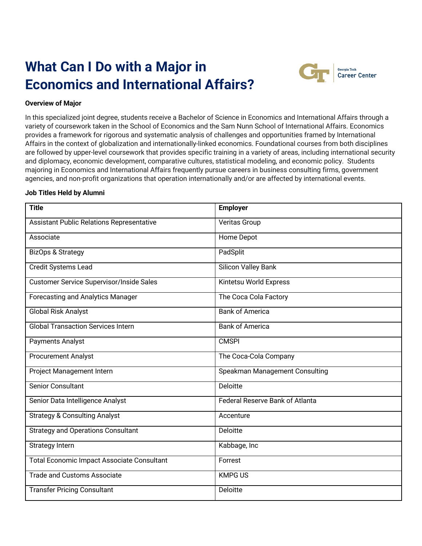# **What Can I Do with a Major in Economics and International Affairs?**



## **Overview of Major**

In this specialized joint degree, students receive a Bachelor of Science in Economics and International Affairs through a variety of coursework taken in the School of Economics and the Sam Nunn School of International Affairs. Economics provides a framework for rigorous and systematic analysis of challenges and opportunities framed by International Affairs in the context of globalization and internationally-linked economics. Foundational courses from both disciplines are followed by upper-level coursework that provides specific training in a variety of areas, including international security and diplomacy, economic development, comparative cultures, statistical modeling, and economic policy. Students majoring in Economics and International Affairs frequently pursue careers in business consulting firms, government agencies, and non-profit organizations that operation internationally and/or are affected by international events.

#### **Job Titles Held by Alumni**

| <b>Title</b>                                      | <b>Employer</b>                        |
|---------------------------------------------------|----------------------------------------|
| <b>Assistant Public Relations Representative</b>  | Veritas Group                          |
| Associate                                         | Home Depot                             |
| <b>BizOps &amp; Strategy</b>                      | PadSplit                               |
| <b>Credit Systems Lead</b>                        | <b>Silicon Valley Bank</b>             |
| <b>Customer Service Supervisor/Inside Sales</b>   | Kintetsu World Express                 |
| <b>Forecasting and Analytics Manager</b>          | The Coca Cola Factory                  |
| <b>Global Risk Analyst</b>                        | <b>Bank of America</b>                 |
| <b>Global Transaction Services Intern</b>         | <b>Bank of America</b>                 |
| Payments Analyst                                  | <b>CMSPI</b>                           |
| <b>Procurement Analyst</b>                        | The Coca-Cola Company                  |
| Project Management Intern                         | Speakman Management Consulting         |
| <b>Senior Consultant</b>                          | <b>Deloitte</b>                        |
| Senior Data Intelligence Analyst                  | <b>Federal Reserve Bank of Atlanta</b> |
| <b>Strategy &amp; Consulting Analyst</b>          | Accenture                              |
| <b>Strategy and Operations Consultant</b>         | Deloitte                               |
| <b>Strategy Intern</b>                            | Kabbage, Inc                           |
| <b>Total Economic Impact Associate Consultant</b> | Forrest                                |
| <b>Trade and Customs Associate</b>                | <b>KMPG US</b>                         |
| <b>Transfer Pricing Consultant</b>                | Deloitte                               |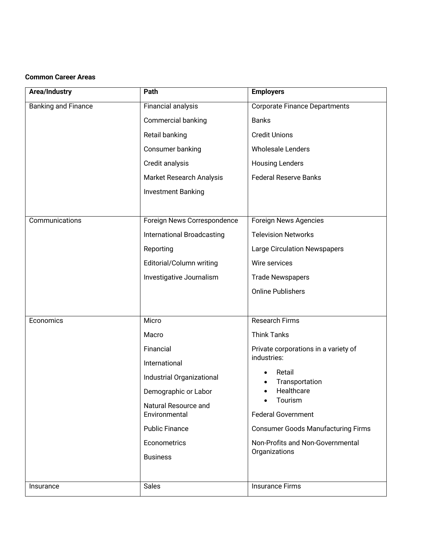## **Common Career Areas**

| Area/Industry              | Path                              | <b>Employers</b>                                  |
|----------------------------|-----------------------------------|---------------------------------------------------|
| <b>Banking and Finance</b> | Financial analysis                | <b>Corporate Finance Departments</b>              |
|                            | <b>Commercial banking</b>         | <b>Banks</b>                                      |
|                            | Retail banking                    | <b>Credit Unions</b>                              |
|                            | Consumer banking                  | <b>Wholesale Lenders</b>                          |
|                            | Credit analysis                   | <b>Housing Lenders</b>                            |
|                            | <b>Market Research Analysis</b>   | <b>Federal Reserve Banks</b>                      |
|                            | <b>Investment Banking</b>         |                                                   |
|                            |                                   |                                                   |
| Communications             | Foreign News Correspondence       | Foreign News Agencies                             |
|                            | <b>International Broadcasting</b> | <b>Television Networks</b>                        |
|                            | Reporting                         | <b>Large Circulation Newspapers</b>               |
|                            | Editorial/Column writing          | Wire services                                     |
|                            | Investigative Journalism          | <b>Trade Newspapers</b>                           |
|                            |                                   | <b>Online Publishers</b>                          |
|                            |                                   |                                                   |
| Economics                  | Micro                             | <b>Research Firms</b>                             |
|                            | Macro                             | <b>Think Tanks</b>                                |
|                            | Financial                         | Private corporations in a variety of              |
|                            | International                     | industries:                                       |
|                            | Industrial Organizational         | Retail<br>Transportation                          |
|                            | Demographic or Labor              | Healthcare<br>Tourism                             |
|                            | Natural Resource and              |                                                   |
|                            | Environmental                     | <b>Federal Government</b>                         |
|                            | <b>Public Finance</b>             | <b>Consumer Goods Manufacturing Firms</b>         |
|                            | Econometrics                      | Non-Profits and Non-Governmental<br>Organizations |
|                            | <b>Business</b>                   |                                                   |
|                            |                                   |                                                   |
| Insurance                  | <b>Sales</b>                      | <b>Insurance Firms</b>                            |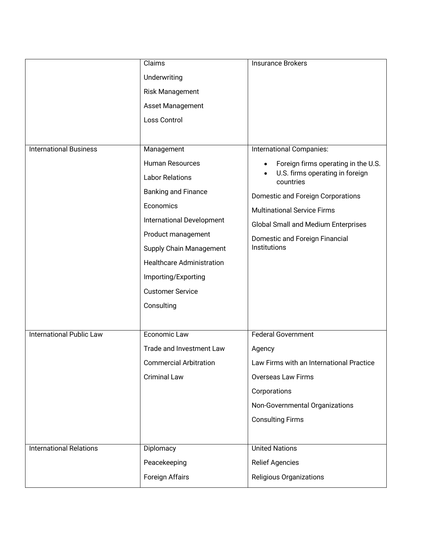|                                | Claims                           | <b>Insurance Brokers</b>                     |
|--------------------------------|----------------------------------|----------------------------------------------|
|                                | Underwriting                     |                                              |
|                                | Risk Management                  |                                              |
|                                | Asset Management                 |                                              |
|                                | Loss Control                     |                                              |
|                                |                                  |                                              |
| <b>International Business</b>  | Management                       | International Companies:                     |
|                                | <b>Human Resources</b>           | Foreign firms operating in the U.S.          |
|                                | <b>Labor Relations</b>           | U.S. firms operating in foreign<br>countries |
|                                | <b>Banking and Finance</b>       | Domestic and Foreign Corporations            |
|                                | Economics                        | <b>Multinational Service Firms</b>           |
|                                | International Development        | <b>Global Small and Medium Enterprises</b>   |
|                                | Product management               | Domestic and Foreign Financial               |
|                                | <b>Supply Chain Management</b>   | Institutions                                 |
|                                | <b>Healthcare Administration</b> |                                              |
|                                | Importing/Exporting              |                                              |
|                                | <b>Customer Service</b>          |                                              |
|                                | Consulting                       |                                              |
|                                |                                  |                                              |
| International Public Law       | Economic Law                     | <b>Federal Government</b>                    |
|                                | Trade and Investment Law         | Agency                                       |
|                                | <b>Commercial Arbitration</b>    | Law Firms with an International Practice     |
|                                | <b>Criminal Law</b>              | <b>Overseas Law Firms</b>                    |
|                                |                                  | Corporations                                 |
|                                |                                  | Non-Governmental Organizations               |
|                                |                                  | <b>Consulting Firms</b>                      |
|                                |                                  |                                              |
| <b>International Relations</b> | Diplomacy                        | <b>United Nations</b>                        |
|                                | Peacekeeping                     | <b>Relief Agencies</b>                       |
|                                | Foreign Affairs                  | <b>Religious Organizations</b>               |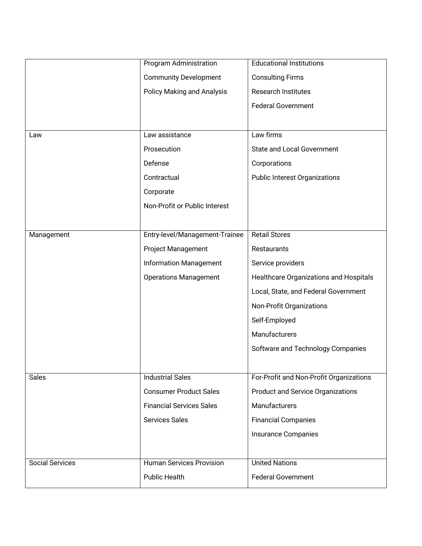|                        | Program Administration            | <b>Educational Institutions</b>          |
|------------------------|-----------------------------------|------------------------------------------|
|                        | <b>Community Development</b>      | <b>Consulting Firms</b>                  |
|                        | <b>Policy Making and Analysis</b> | <b>Research Institutes</b>               |
|                        |                                   | <b>Federal Government</b>                |
|                        |                                   |                                          |
| Law                    | Law assistance                    | Law firms                                |
|                        | Prosecution                       | <b>State and Local Government</b>        |
|                        | Defense                           | Corporations                             |
|                        | Contractual                       | <b>Public Interest Organizations</b>     |
|                        | Corporate                         |                                          |
|                        | Non-Profit or Public Interest     |                                          |
|                        |                                   |                                          |
| Management             | Entry-level/Management-Trainee    | <b>Retail Stores</b>                     |
|                        | <b>Project Management</b>         | <b>Restaurants</b>                       |
|                        | <b>Information Management</b>     | Service providers                        |
|                        | <b>Operations Management</b>      | Healthcare Organizations and Hospitals   |
|                        |                                   | Local, State, and Federal Government     |
|                        |                                   | Non-Profit Organizations                 |
|                        |                                   | Self-Employed                            |
|                        |                                   | Manufacturers                            |
|                        |                                   | Software and Technology Companies        |
|                        |                                   |                                          |
| <b>Sales</b>           | <b>Industrial Sales</b>           | For-Profit and Non-Profit Organizations  |
|                        | <b>Consumer Product Sales</b>     | <b>Product and Service Organizations</b> |
|                        | <b>Financial Services Sales</b>   | <b>Manufacturers</b>                     |
|                        | <b>Services Sales</b>             | <b>Financial Companies</b>               |
|                        |                                   | Insurance Companies                      |
|                        |                                   |                                          |
| <b>Social Services</b> | <b>Human Services Provision</b>   | <b>United Nations</b>                    |
|                        | <b>Public Health</b>              | <b>Federal Government</b>                |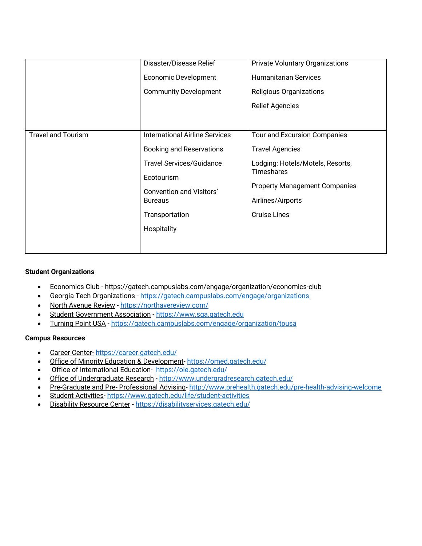|                           | Disaster/Disease Relief<br><b>Economic Development</b><br><b>Community Development</b>                                                                                                                          | <b>Private Voluntary Organizations</b><br><b>Humanitarian Services</b><br>Religious Organizations<br><b>Relief Agencies</b>                                                                         |
|---------------------------|-----------------------------------------------------------------------------------------------------------------------------------------------------------------------------------------------------------------|-----------------------------------------------------------------------------------------------------------------------------------------------------------------------------------------------------|
| <b>Travel and Tourism</b> | <b>International Airline Services</b><br><b>Booking and Reservations</b><br><b>Travel Services/Guidance</b><br>Ecotourism<br><b>Convention and Visitors'</b><br><b>Bureaus</b><br>Transportation<br>Hospitality | Tour and Excursion Companies<br><b>Travel Agencies</b><br>Lodging: Hotels/Motels, Resorts,<br><b>Timeshares</b><br><b>Property Management Companies</b><br>Airlines/Airports<br><b>Cruise Lines</b> |

## **Student Organizations**

- Economics Club https://gatech.campuslabs.com/engage/organization/economics-club
- Georgia Tech Organizations https://gatech.campuslabs.com/engage/organizations
- North Avenue Review https://northavereview.com/
- Student Government Association https://www.sga.gatech.edu
- Turning Point USA https://gatech.campuslabs.com/engage/organization/tpusa

#### **Campus Resources**

- Career Center- https://career.gatech.edu/
- Office of Minority Education & Development-https://omed.gatech.edu/
- Office of International Education- https://oie.gatech.edu/
- Office of Undergraduate Research http://www.undergradresearch.gatech.edu/
- Pre-Graduate and Pre- Professional Advising- http://www.prehealth.gatech.edu/pre-health-advising-welcome
- Student Activities- https://www.gatech.edu/life/student-activities
- Disability Resource Center https://disabilityservices.gatech.edu/